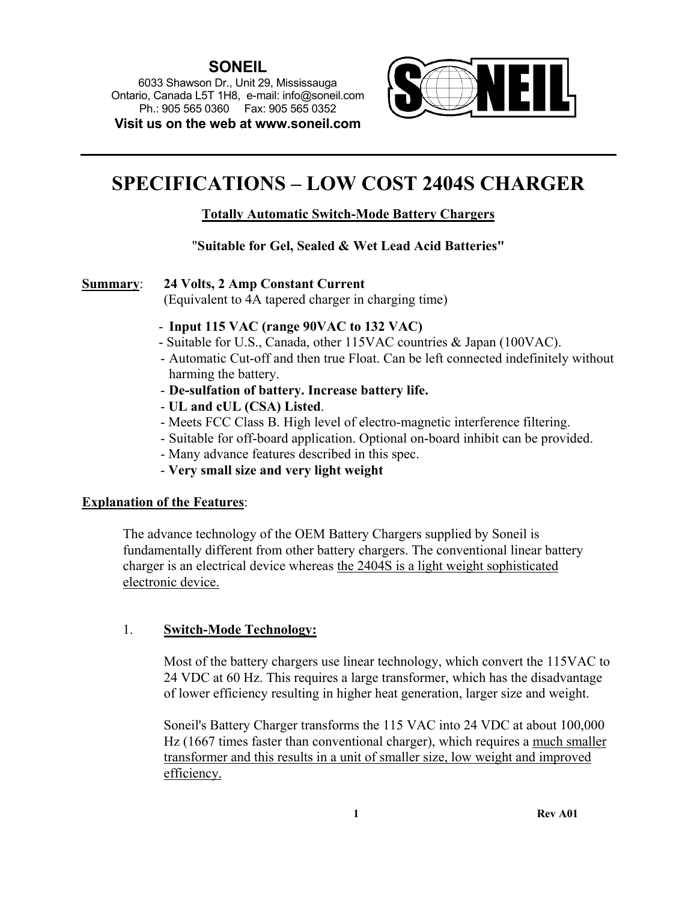# **SONEIL**

6033 Shawson Dr., Unit 29, Mississauga Ontario, Canada L5T 1H8, e-mail: info@soneil.com Ph.: 905 565 0360 Fax: 905 565 0352 **Visit us on the web at www.soneil.com** 



# **SPECIFICATIONS – LOW COST 2404S CHARGER**

# **Totally Automatic Switch-Mode Battery Chargers**

# "**Suitable for Gel, Sealed & Wet Lead Acid Batteries"**

**Summary**: **24 Volts, 2 Amp Constant Current**

(Equivalent to 4A tapered charger in charging time)

- **Input 115 VAC (range 90VAC to 132 VAC)**
- Suitable for U.S., Canada, other 115VAC countries & Japan (100VAC).
- Automatic Cut-off and then true Float. Can be left connected indefinitely without harming the battery.
- **De-sulfation of battery. Increase battery life.**
- **UL and cUL (CSA) Listed**.
- Meets FCC Class B. High level of electro-magnetic interference filtering.
- Suitable for off-board application. Optional on-board inhibit can be provided.
- Many advance features described in this spec.
- **Very small size and very light weight**

# **Explanation of the Features**:

The advance technology of the OEM Battery Chargers supplied by Soneil is fundamentally different from other battery chargers. The conventional linear battery charger is an electrical device whereas the 2404S is a light weight sophisticated electronic device.

# 1. **Switch-Mode Technology:**

Most of the battery chargers use linear technology, which convert the 115VAC to 24 VDC at 60 Hz. This requires a large transformer, which has the disadvantage of lower efficiency resulting in higher heat generation, larger size and weight.

Soneil's Battery Charger transforms the 115 VAC into 24 VDC at about 100,000 Hz (1667 times faster than conventional charger), which requires a much smaller transformer and this results in a unit of smaller size, low weight and improved efficiency.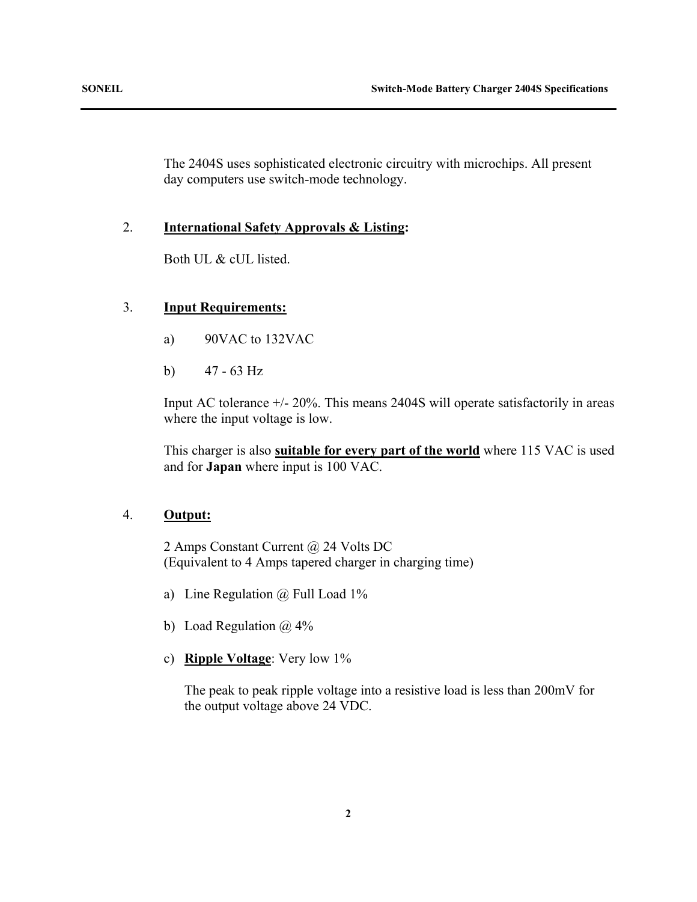The 2404S uses sophisticated electronic circuitry with microchips. All present day computers use switch-mode technology.

### 2. **International Safety Approvals & Listing:**

Both UL & cUL listed.

# 3. **Input Requirements:**

- a) 90VAC to 132VAC
- b) 47 63 Hz

Input AC tolerance +/- 20%. This means 2404S will operate satisfactorily in areas where the input voltage is low.

This charger is also **suitable for every part of the world** where 115 VAC is used and for **Japan** where input is 100 VAC.

# 4. **Output:**

2 Amps Constant Current @ 24 Volts DC (Equivalent to 4 Amps tapered charger in charging time)

- a) Line Regulation @ Full Load 1%
- b) Load Regulation  $\omega$  4%
- c) **Ripple Voltage**: Very low 1%

The peak to peak ripple voltage into a resistive load is less than 200mV for the output voltage above 24 VDC.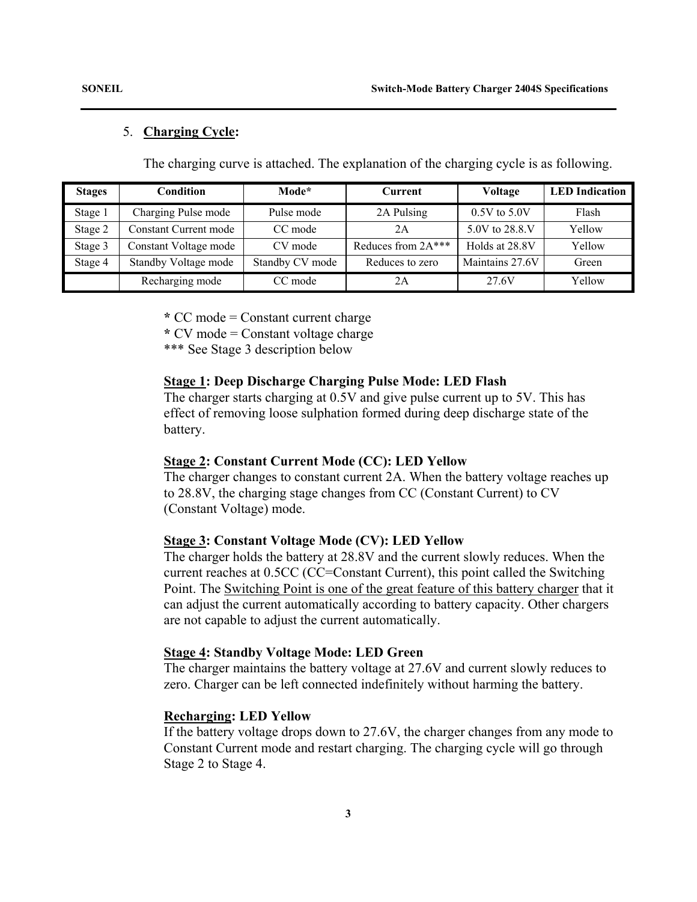#### 5. **Charging Cycle:**

The charging curve is attached. The explanation of the charging cycle is as following.

| <b>Stages</b> | Condition                    | Mode*           | Current              | Voltage          | <b>LED</b> Indication |
|---------------|------------------------------|-----------------|----------------------|------------------|-----------------------|
| Stage 1       | Charging Pulse mode          | Pulse mode      | 2A Pulsing           | $0.5V$ to $5.0V$ | Flash                 |
| Stage 2       | <b>Constant Current mode</b> | CC mode         | 2Α                   | 5.0V to 28.8 V   | Yellow                |
| Stage 3       | Constant Voltage mode        | CV mode         | Reduces from $2A***$ | Holds at 28.8V   | Yellow                |
| Stage 4       | Standby Voltage mode         | Standby CV mode | Reduces to zero      | Maintains 27.6V  | Green                 |
|               | Recharging mode              | CC mode         | 2Α                   | 27.6V            | Yellow                |

 **\*** CC mode = Constant current charge

 **\*** CV mode = Constant voltage charge

\*\*\* See Stage 3 description below

#### **Stage 1: Deep Discharge Charging Pulse Mode: LED Flash**

The charger starts charging at 0.5V and give pulse current up to 5V. This has effect of removing loose sulphation formed during deep discharge state of the battery.

#### **Stage 2: Constant Current Mode (CC): LED Yellow**

The charger changes to constant current 2A. When the battery voltage reaches up to 28.8V, the charging stage changes from CC (Constant Current) to CV (Constant Voltage) mode.

#### **Stage 3: Constant Voltage Mode (CV): LED Yellow**

 The charger holds the battery at 28.8V and the current slowly reduces. When the current reaches at 0.5CC (CC=Constant Current), this point called the Switching Point. The Switching Point is one of the great feature of this battery charger that it can adjust the current automatically according to battery capacity. Other chargers are not capable to adjust the current automatically.

#### **Stage 4: Standby Voltage Mode: LED Green**

The charger maintains the battery voltage at 27.6V and current slowly reduces to zero. Charger can be left connected indefinitely without harming the battery.

#### **Recharging: LED Yellow**

If the battery voltage drops down to 27.6V, the charger changes from any mode to Constant Current mode and restart charging. The charging cycle will go through Stage 2 to Stage 4.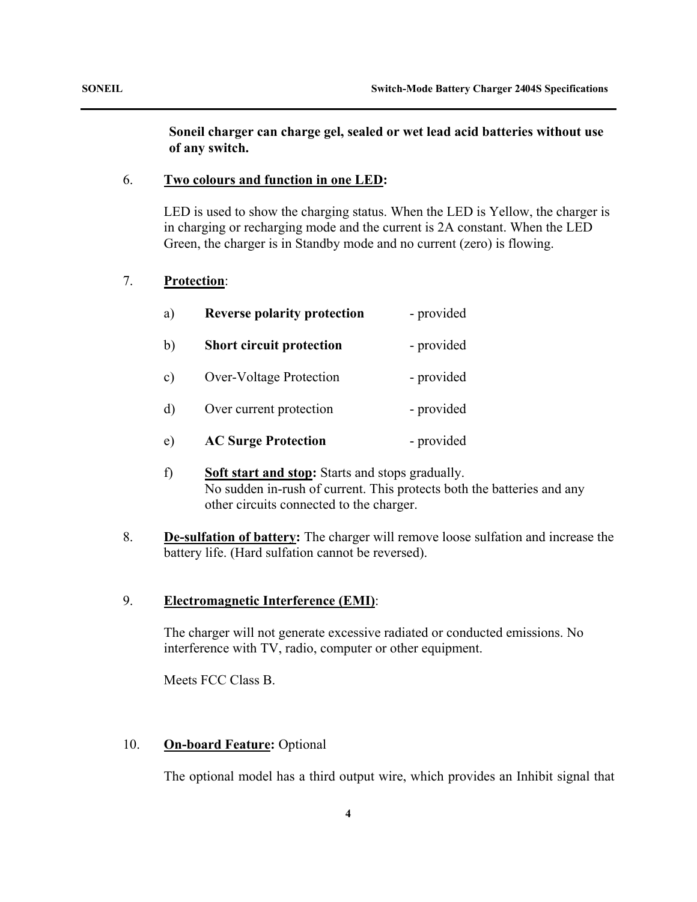# **Soneil charger can charge gel, sealed or wet lead acid batteries without use of any switch.**

## 6. **Two colours and function in one LED:**

LED is used to show the charging status. When the LED is Yellow, the charger is in charging or recharging mode and the current is 2A constant. When the LED Green, the charger is in Standby mode and no current (zero) is flowing.

# 7. **Protection**:

| a)            | <b>Reverse polarity protection</b> | - provided |
|---------------|------------------------------------|------------|
| b)            | <b>Short circuit protection</b>    | - provided |
| $\mathbf{c})$ | <b>Over-Voltage Protection</b>     | - provided |
| $\mathbf{d}$  | Over current protection            | - provided |
| e)            | <b>AC Surge Protection</b>         | - provided |

- f) **Soft start and stop:** Starts and stops gradually. No sudden in-rush of current. This protects both the batteries and any other circuits connected to the charger.
- 8. **De-sulfation of battery:** The charger will remove loose sulfation and increase the battery life. (Hard sulfation cannot be reversed).

# 9. **Electromagnetic Interference (EMI)**:

The charger will not generate excessive radiated or conducted emissions. No interference with TV, radio, computer or other equipment.

Meets FCC Class B.

# 10. **On-board Feature:** Optional

The optional model has a third output wire, which provides an Inhibit signal that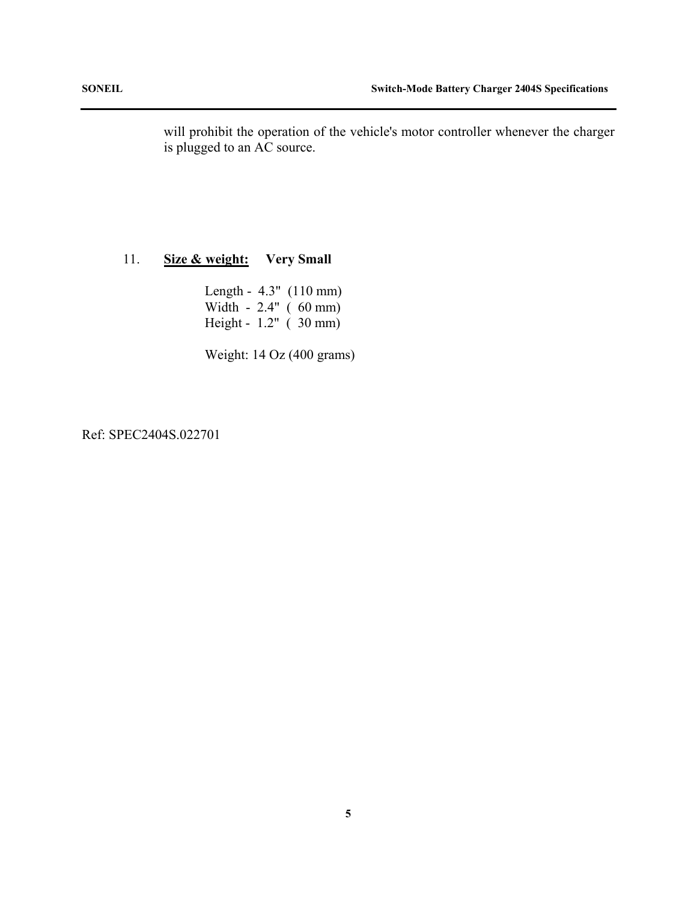will prohibit the operation of the vehicle's motor controller whenever the charger is plugged to an AC source.

# 11. **Size & weight: Very Small**

 Length - 4.3" (110 mm) Width - 2.4" ( 60 mm) Height - 1.2" ( 30 mm)

Weight: 14 Oz (400 grams)

# Ref: SPEC2404S.022701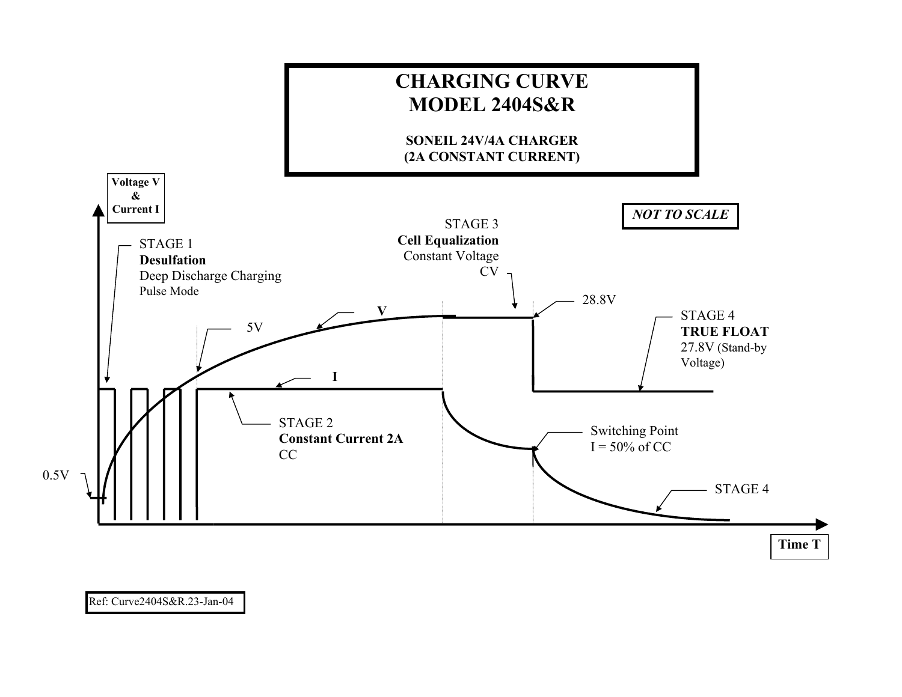

# Ref: Curve2404S&R.23-Jan-04